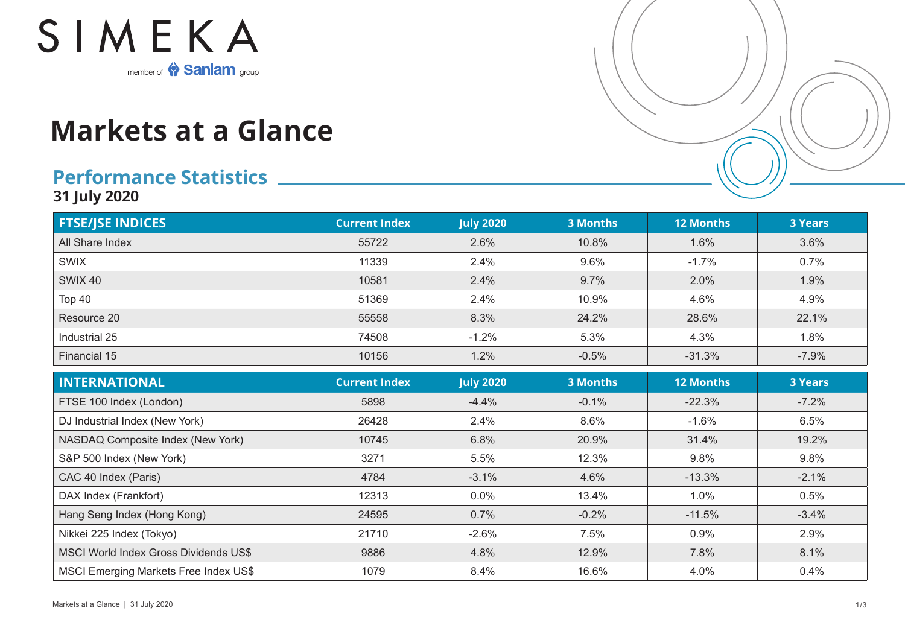

## **Markets at a Glance**

## **Performance Statistics**

**31 July 2020**

| <b>FTSE/JSE INDICES</b> | <b>Current Index</b> | <b>July 2020</b> | 3 Months | <b>12 Months</b> | <b>3 Years</b> |
|-------------------------|----------------------|------------------|----------|------------------|----------------|
| All Share Index         | 55722                | 2.6%             | 10.8%    | 1.6%             | 3.6%           |
| <b>SWIX</b>             | 11339                | 2.4%             | 9.6%     | $-1.7%$          | 0.7%           |
| <b>SWIX 40</b>          | 10581                | 2.4%             | 9.7%     | 2.0%             | 1.9%           |
| Top 40                  | 51369                | 2.4%             | 10.9%    | 4.6%             | 4.9%           |
| Resource 20             | 55558                | 8.3%             | 24.2%    | 28.6%            | 22.1%          |
| Industrial 25           | 74508                | $-1.2%$          | 5.3%     | 4.3%             | 1.8%           |
| Financial 15            | 10156                | 1.2%             | $-0.5%$  | $-31.3%$         | $-7.9%$        |

| <b>INTERNATIONAL</b>                         | <b>Current Index</b> | <b>July 2020</b> | <b>3 Months</b> | <b>12 Months</b> | <b>3 Years</b> |
|----------------------------------------------|----------------------|------------------|-----------------|------------------|----------------|
| FTSE 100 Index (London)                      | 5898                 | $-4.4%$          | $-0.1%$         | $-22.3%$         | $-7.2%$        |
| DJ Industrial Index (New York)               | 26428                | 2.4%             | 8.6%            | $-1.6%$          | 6.5%           |
| NASDAQ Composite Index (New York)            | 10745                | 6.8%             | 20.9%           | 31.4%            | 19.2%          |
| S&P 500 Index (New York)                     | 3271                 | 5.5%             | 12.3%           | 9.8%             | 9.8%           |
| CAC 40 Index (Paris)                         | 4784                 | $-3.1%$          | 4.6%            | $-13.3%$         | $-2.1%$        |
| DAX Index (Frankfort)                        | 12313                | 0.0%             | 13.4%           | 1.0%             | 0.5%           |
| Hang Seng Index (Hong Kong)                  | 24595                | 0.7%             | $-0.2%$         | $-11.5%$         | $-3.4%$        |
| Nikkei 225 Index (Tokyo)                     | 21710                | $-2.6%$          | 7.5%            | 0.9%             | 2.9%           |
| MSCI World Index Gross Dividends US\$        | 9886                 | 4.8%             | 12.9%           | 7.8%             | 8.1%           |
| <b>MSCI Emerging Markets Free Index US\$</b> | 1079                 | 8.4%             | 16.6%           | 4.0%             | 0.4%           |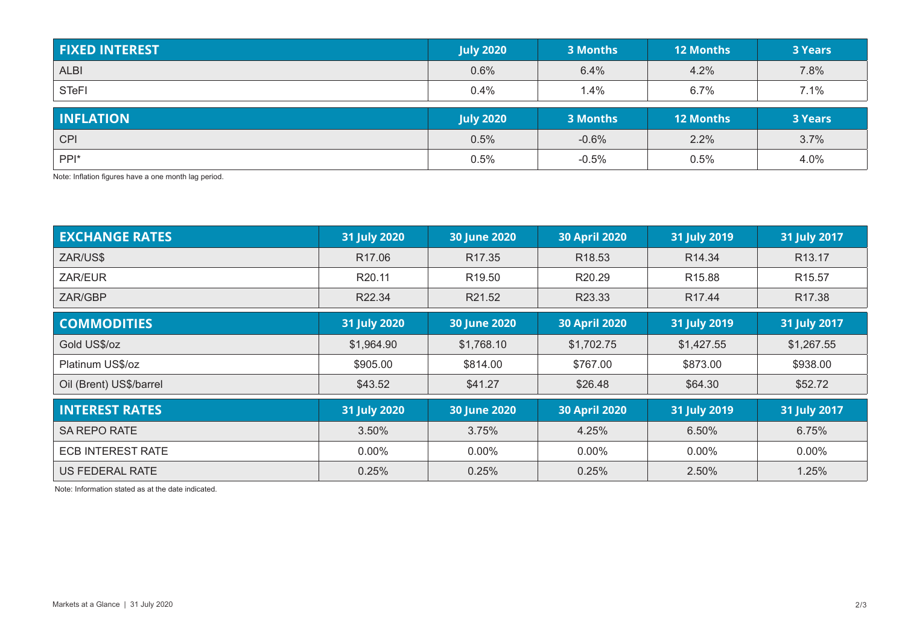| <b>FIXED INTEREST</b> | <b>July 2020</b> | 3 Months | <b>12 Months</b> | <b>3 Years</b> |
|-----------------------|------------------|----------|------------------|----------------|
| <b>ALBI</b>           | 0.6%             | 6.4%     | 4.2%             | 7.8%           |
| <b>STeFI</b>          | $0.4\%$          | 1.4%     | 6.7%             | 7.1%           |
|                       |                  |          |                  |                |
| <b>INFLATION</b>      | <b>July 2020</b> | 3 Months | <b>12 Months</b> | <b>3 Years</b> |
| <b>CPI</b>            | 0.5%             | $-0.6%$  | 2.2%             | 3.7%           |

Note: Inflation figures have a one month lag period.

| <b>EXCHANGE RATES</b>    | 31 July 2020       | 30 June 2020        | <b>30 April 2020</b> | 31 July 2019       | 31 July 2017       |
|--------------------------|--------------------|---------------------|----------------------|--------------------|--------------------|
| ZAR/US\$                 | R <sub>17.06</sub> | R <sub>17.35</sub>  | R <sub>18.53</sub>   | R14.34             | R <sub>13.17</sub> |
| ZAR/EUR                  | R <sub>20.11</sub> | R <sub>19.50</sub>  | R20.29               | R <sub>15.88</sub> | R <sub>15.57</sub> |
| ZAR/GBP                  | R22.34             | R21.52              | R23.33               | R <sub>17.44</sub> | R17.38             |
| <b>COMMODITIES</b>       | 31 July 2020       | <b>30 June 2020</b> | <b>30 April 2020</b> | 31 July 2019       | 31 July 2017       |
| Gold US\$/oz             | \$1,964.90         | \$1,768.10          | \$1,702.75           | \$1,427.55         | \$1,267.55         |
| Platinum US\$/oz         | \$905.00           | \$814.00            | \$767.00             | \$873.00           | \$938.00           |
| Oil (Brent) US\$/barrel  | \$43.52            | \$41.27             | \$26.48              | \$64.30            | \$52.72            |
| <b>INTEREST RATES</b>    | 31 July 2020       | <b>30 June 2020</b> | <b>30 April 2020</b> | 31 July 2019       | 31 July 2017       |
| SA REPO RATE             | 3.50%              | 3.75%               | 4.25%                | 6.50%              | 6.75%              |
| <b>ECB INTEREST RATE</b> | $0.00\%$           | $0.00\%$            | $0.00\%$             | $0.00\%$           | $0.00\%$           |
| US FEDERAL RATE          | 0.25%              | 0.25%               | 0.25%                | 2.50%              | 1.25%              |

Note: Information stated as at the date indicated.